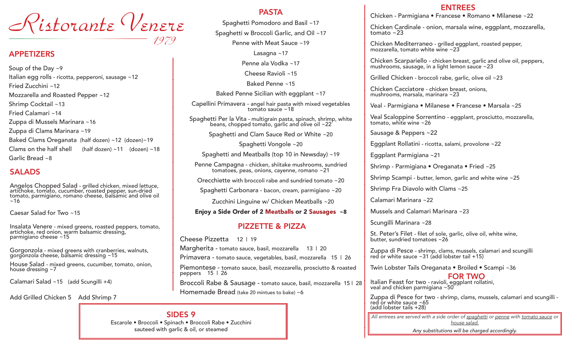Ristorante Venere

#### APPETIZERS

Soup of the Day ~9 Italian egg rolls - ricotta, pepperoni, sausage ~12 Fried Zucchini ~12 Mozzarella and Roasted Pepper ~12 Shrimp Cocktail ~13 Fried Calamari ~14 Zuppa di Mussels Marinara ~16 Zuppa di Clams Marinara ~19 Baked Clams Oreganata (half dozen) ~12 (dozen)~19 Clams on the half shell  $\qquad$  (half dozen) ~11 (dozen) ~18 Garlic Bread ~8

## SALADS

Angelos Chopped Salad - grilled chicken, mixed lettuce, artichoke, tomato, cucumber, roasted pepper, sun-dried tomato, parmigiano, romano cheese, balsamic and olive oil  $~16$ 

Caesar Salad for Two ~15

Insalata Venere - mixed greens, roasted peppers, tomato, artichoke, red onion, warm balsamic dressing, parmigiano cheese ~15

Gorgonzola - mixed greens with cranberries, walnuts, gorgonzola cheese, balsamic dressing ~15

House Salad - mixed greens, cucumber, tomato, onion, house dressing ~7

Calamari Salad ~15 (add Scungilli +4)

Add Grilled Chicken 5 Add Shrimp 7

#### PASTA

Spaghetti Pomodoro and Basil ~17

Spaghetti w Broccoli Garlic, and Oil ~17

Penne with Meat Sauce ~19

Lasagna  $~17$ 

Penne ala Vodka ~17

Cheese Ravioli ~15

Baked Penne ~15

Baked Penne Sicilian with eggplant ~17

Capellini Primavera - angel hair pasta with mixed vegetables tomato sauce ~18

Spaghetti Per la Vita - multigrain pasta, spinach, shrimp, white beans, chopped tomato, garlic and olive oil ~22

Spaghetti and Clam Sauce Red or White ~20

Spaghetti Vongole ~20

Spaghetti and Meatballs (top 10 in Newsday) ~19

Penne Campagna - chicken, shiitake mushrooms, sundried tomatoes, peas, onions, cayenne, romano ~21

Orecchiette with broccoli rabe and sundried tomato ~20

Spaghetti Carbonara - bacon, cream, parmigiano ~20

Zucchini Linguine w/ Chicken Meatballs ~20

Enjoy a Side Order of 2 Meatballs or 2 Sausages ~8

### PIZZETTE & PIZZA

Cheese Pizzetta 12 | 19 Margherita - tomato sauce, basil, mozzarella 13 | 20 Primavera - tomato sauce, vegetables, basil, mozzarella 15 | 26 Piemontese - tomato sauce, basil, mozzarella, prosciutto & roasted peppers 15 | 26 Broccoli Rabe & Sausage - tomato sauce, basil, mozzarella 15 | 28 Homemade Bread (take 20 mintues to bake) ~6

#### ENTREES

Chicken - Parmigiana • Francese • Romano • Milanese ~22

Chicken Cardinale - onion, marsala wine, eggplant, mozzarella, tomato ~23

Chicken Mediterraneo - grilled eggplant, roasted pepper, mozzarella, tomato white wine ~23

Chicken Scarpariello - chicken breast, garlic and olive oil, peppers, mushrooms, sausage, in a light lemon sauce ~23

Grilled Chicken - broccoli rabe, garlic, olive oil ~23

Chicken Cacciatore - chicken breast, onions, mushrooms, marsala, marinara ~23

Veal - Parmigiana • Milanese • Francese • Marsala ~25

Veal Scaloppine Sorrentino - eggplant, prosciutto, mozzarella, tomato, white wine ~26

Sausage & Peppers ~22

Eggplant Rollatini - ricotta, salami, provolone ~22

Eggplant Parmigiana ~21

Shrimp - Parmigiana • Oreganata • Fried ~25

Shrimp Scampi - butter, lemon, garlic and white wine ~25

Shrimp Fra Diavolo with Clams ~25

Calamari Marinara ~22

Mussels and Calamari Marinara ~23

Scungilli Marinara ~28

St. Peter's Filet - filet of sole, garlic, olive oil, white wine, butter, sundried tomatoes ~26

Zuppa di Pesce - shrimp, clams, mussels, calamari and scungilli red or white sauce ~31 (add lobster tail +15)

Twin Lobster Tails Oreganata • Broiled • Scampi ~36

FOR TWO Italian Feast for two - ravioli, eggplant rollatini, veal and chicken parmigiana ~50

 $\overline{a}$ Zuppa di Pesce for two - shrimp, clams, mussels, calamari and scungilli -<br>red or white sauce ~65 (add lobster tails +28)

*All entrees are served with a side order of spaghetti or penne with tomato sauce or house salad.*

*Any substitutions will be charged accordingly.*

SIDES 9

*1979*

Escarole • Broccoli • Spinach • Broccoli Rabe • Zucchini sauteed with garlic & oil, or steamed